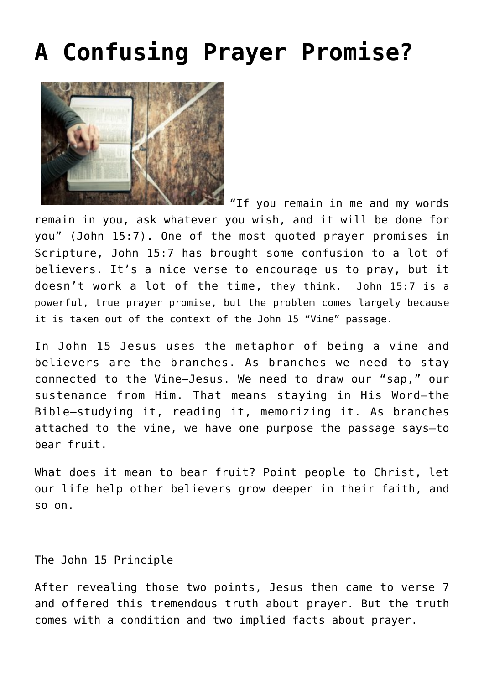## **[A Confusing Prayer Promise?](https://www.prayerleader.com/a-confusing-prayer-promise/)**



"If you remain in me and my words remain in you, ask whatever you wish, and it will be done for you" (John 15:7). One of the most quoted prayer promises in Scripture, John 15:7 has brought some confusion to a lot of believers. It's a nice verse to encourage us to pray, but it doesn't work a lot of the time, they think. John 15:7 is a powerful, true prayer promise, but the problem comes largely because it is taken out of the context of the John 15 "Vine" passage.

In John 15 Jesus uses the metaphor of being a vine and believers are the branches. As branches we need to stay connected to the Vine—Jesus. We need to draw our "sap," our sustenance from Him. That means staying in His Word—the Bible—studying it, reading it, memorizing it. As branches attached to the vine, we have one purpose the passage says—to bear fruit.

What does it mean to bear fruit? Point people to Christ, let our life help other believers grow deeper in their faith, and so on.

The John 15 Principle

After revealing those two points, Jesus then came to verse 7 and offered this tremendous truth about prayer. But the truth comes with a condition and two implied facts about prayer.